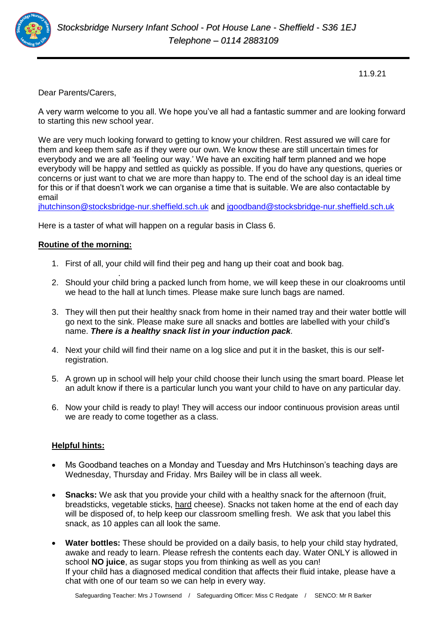

11.9.21

Dear Parents/Carers,

A very warm welcome to you all. We hope you've all had a fantastic summer and are looking forward to starting this new school year.

We are very much looking forward to getting to know your children. Rest assured we will care for them and keep them safe as if they were our own. We know these are still uncertain times for everybody and we are all 'feeling our way.' We have an exciting half term planned and we hope everybody will be happy and settled as quickly as possible. If you do have any questions, queries or concerns or just want to chat we are more than happy to. The end of the school day is an ideal time for this or if that doesn't work we can organise a time that is suitable. We are also contactable by email

[jhutchinson@stocksbridge-nur.sheffield.sch.uk](mailto:jhutchinson@stocksbridge-nur.sheffield.sch.uk) and [jgoodband@stocksbridge-nur.sheffield.sch.uk](mailto:jgoodband@stocksbridge-nur.sheffield.sch.uk)

Here is a taster of what will happen on a regular basis in Class 6.

## **Routine of the morning:**

- 1. First of all, your child will find their peg and hang up their coat and book bag.
- . 2. Should your child bring a packed lunch from home, we will keep these in our cloakrooms until we head to the hall at lunch times. Please make sure lunch bags are named.
- 3. They will then put their healthy snack from home in their named tray and their water bottle will go next to the sink. Please make sure all snacks and bottles are labelled with your child's name. *There is a healthy snack list in your induction pack.*
- 4. Next your child will find their name on a log slice and put it in the basket, this is our selfregistration.
- 5. A grown up in school will help your child choose their lunch using the smart board. Please let an adult know if there is a particular lunch you want your child to have on any particular day.
- 6. Now your child is ready to play! They will access our indoor continuous provision areas until we are ready to come together as a class.

## **Helpful hints:**

- Ms Goodband teaches on a Monday and Tuesday and Mrs Hutchinson's teaching days are Wednesday, Thursday and Friday. Mrs Bailey will be in class all week.
- **Snacks:** We ask that you provide your child with a healthy snack for the afternoon (fruit, breadsticks, vegetable sticks, hard cheese). Snacks not taken home at the end of each day will be disposed of, to help keep our classroom smelling fresh. We ask that you label this snack, as 10 apples can all look the same.
- **Water bottles:** These should be provided on a daily basis, to help your child stay hydrated, awake and ready to learn. Please refresh the contents each day. Water ONLY is allowed in school **NO juice**, as sugar stops you from thinking as well as you can! If your child has a diagnosed medical condition that affects their fluid intake, please have a chat with one of our team so we can help in every way.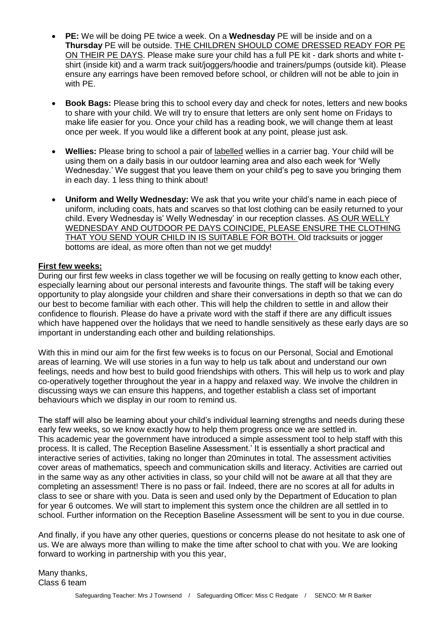- **PE:** We will be doing PE twice a week. On a **Wednesday** PE will be inside and on a **Thursday** PE will be outside. THE CHILDREN SHOULD COME DRESSED READY FOR PE ON THEIR PE DAYS. Please make sure your child has a full PE kit - dark shorts and white tshirt (inside kit) and a warm track suit/joggers/hoodie and trainers/pumps (outside kit). Please ensure any earrings have been removed before school, or children will not be able to join in with PE.
- **Book Bags:** Please bring this to school every day and check for notes, letters and new books to share with your child. We will try to ensure that letters are only sent home on Fridays to make life easier for you. Once your child has a reading book, we will change them at least once per week. If you would like a different book at any point, please just ask.
- **Wellies:** Please bring to school a pair of labelled wellies in a carrier bag. Your child will be using them on a daily basis in our outdoor learning area and also each week for 'Welly Wednesday.' We suggest that you leave them on your child's peg to save you bringing them in each day. 1 less thing to think about!
- **Uniform and Welly Wednesday:** We ask that you write your child's name in each piece of uniform, including coats, hats and scarves so that lost clothing can be easily returned to your child. Every Wednesday is' Welly Wednesday' in our reception classes. AS OUR WELLY WEDNESDAY AND OUTDOOR PE DAYS COINCIDE, PLEASE ENSURE THE CLOTHING THAT YOU SEND YOUR CHILD IN IS SUITABLE FOR BOTH. Old tracksuits or jogger bottoms are ideal, as more often than not we get muddy!

## **First few weeks:**

During our first few weeks in class together we will be focusing on really getting to know each other, especially learning about our personal interests and favourite things. The staff will be taking every opportunity to play alongside your children and share their conversations in depth so that we can do our best to become familiar with each other. This will help the children to settle in and allow their confidence to flourish. Please do have a private word with the staff if there are any difficult issues which have happened over the holidays that we need to handle sensitively as these early days are so important in understanding each other and building relationships.

With this in mind our aim for the first few weeks is to focus on our Personal, Social and Emotional areas of learning. We will use stories in a fun way to help us talk about and understand our own feelings, needs and how best to build good friendships with others. This will help us to work and play co-operatively together throughout the year in a happy and relaxed way. We involve the children in discussing ways we can ensure this happens, and together establish a class set of important behaviours which we display in our room to remind us.

The staff will also be learning about your child's individual learning strengths and needs during these early few weeks, so we know exactly how to help them progress once we are settled in. This academic year the government have introduced a simple assessment tool to help staff with this process. It is called, The Reception Baseline Assessment.' It is essentially a short practical and interactive series of activities, taking no longer than 20minutes in total. The assessment activities cover areas of mathematics, speech and communication skills and literacy. Activities are carried out in the same way as any other activities in class, so your child will not be aware at all that they are completing an assessment! There is no pass or fail. Indeed, there are no scores at all for adults in class to see or share with you. Data is seen and used only by the Department of Education to plan for year 6 outcomes. We will start to implement this system once the children are all settled in to school. Further information on the Reception Baseline Assessment will be sent to you in due course.

And finally, if you have any other queries, questions or concerns please do not hesitate to ask one of us. We are always more than willing to make the time after school to chat with you. We are looking forward to working in partnership with you this year,

Many thanks, Class 6 team